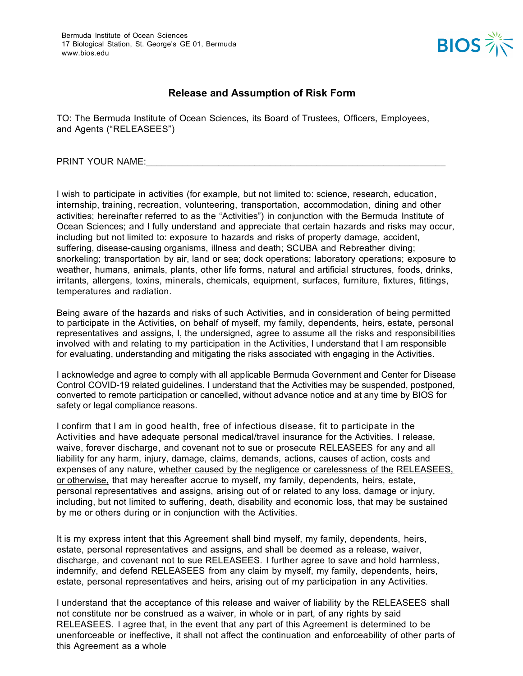

## **Release and Assumption of Risk Form**

TO: The Bermuda Institute of Ocean Sciences, its Board of Trustees, Officers, Employees, and Agents ("RELEASEES")

PRINT YOUR NAME:

I wish to participate in activities (for example, but not limited to: science, research, education, internship, training, recreation, volunteering, transportation, accommodation, dining and other activities; hereinafter referred to as the "Activities") in conjunction with the Bermuda Institute of Ocean Sciences; and I fully understand and appreciate that certain hazards and risks may occur, including but not limited to: exposure to hazards and risks of property damage, accident, suffering, disease-causing organisms, illness and death; SCUBA and Rebreather diving; snorkeling; transportation by air, land or sea; dock operations; laboratory operations; exposure to weather, humans, animals, plants, other life forms, natural and artificial structures, foods, drinks, irritants, allergens, toxins, minerals, chemicals, equipment, surfaces, furniture, fixtures, fittings, temperatures and radiation.

Being aware of the hazards and risks of such Activities, and in consideration of being permitted to participate in the Activities, on behalf of myself, my family, dependents, heirs, estate, personal representatives and assigns, I, the undersigned, agree to assume all the risks and responsibilities involved with and relating to my participation in the Activities, I understand that I am responsible for evaluating, understanding and mitigating the risks associated with engaging in the Activities.

I acknowledge and agree to comply with all applicable Bermuda Government and Center for Disease Control COVID-19 related guidelines. I understand that the Activities may be suspended, postponed, converted to remote participation or cancelled, without advance notice and at any time by BIOS for safety or legal compliance reasons.

I confirm that I am in good health, free of infectious disease, fit to participate in the Activities and have adequate personal medical/travel insurance for the Activities. I release, waive, forever discharge, and covenant not to sue or prosecute RELEASEES for any and all liability for any harm, injury, damage, claims, demands, actions, causes of action, costs and expenses of any nature, whether caused by the negligence or carelessness of the RELEASEES, or otherwise, that may hereafter accrue to myself, my family, dependents, heirs, estate, personal representatives and assigns, arising out of or related to any loss, damage or injury, including, but not limited to suffering, death, disability and economic loss, that may be sustained by me or others during or in conjunction with the Activities.

It is my express intent that this Agreement shall bind myself, my family, dependents, heirs, estate, personal representatives and assigns, and shall be deemed as a release, waiver, discharge, and covenant not to sue RELEASEES. I further agree to save and hold harmless, indemnify, and defend RELEASEES from any claim by myself, my family, dependents, heirs, estate, personal representatives and heirs, arising out of my participation in any Activities.

I understand that the acceptance of this release and waiver of liability by the RELEASEES shall not constitute nor be construed as a waiver, in whole or in part, of any rights by said RELEASEES. I agree that, in the event that any part of this Agreement is determined to be unenforceable or ineffective, it shall not affect the continuation and enforceability of other parts of this Agreement as a whole